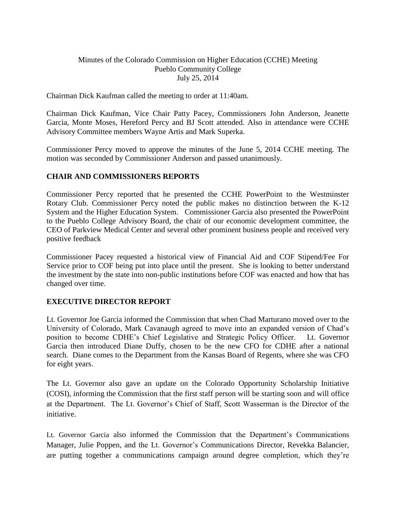# Minutes of the Colorado Commission on Higher Education (CCHE) Meeting Pueblo Community College July 25, 2014

Chairman Dick Kaufman called the meeting to order at 11:40am.

Chairman Dick Kaufman, Vice Chair Patty Pacey, Commissioners John Anderson, Jeanette Garcia, Monte Moses, Hereford Percy and BJ Scott attended. Also in attendance were CCHE Advisory Committee members Wayne Artis and Mark Superka.

Commissioner Percy moved to approve the minutes of the June 5, 2014 CCHE meeting. The motion was seconded by Commissioner Anderson and passed unanimously.

### **CHAIR AND COMMISSIONERS REPORTS**

Commissioner Percy reported that he presented the CCHE PowerPoint to the Westminster Rotary Club. Commissioner Percy noted the public makes no distinction between the K-12 System and the Higher Education System. Commissioner Garcia also presented the PowerPoint to the Pueblo College Advisory Board, the chair of our economic development committee, the CEO of Parkview Medical Center and several other prominent business people and received very positive feedback

Commissioner Pacey requested a historical view of Financial Aid and COF Stipend/Fee For Service prior to COF being put into place until the present. She is looking to better understand the investment by the state into non-public institutions before COF was enacted and how that has changed over time.

### **EXECUTIVE DIRECTOR REPORT**

Lt. Governor Joe Garcia informed the Commission that when Chad Marturano moved over to the University of Colorado, Mark Cavanaugh agreed to move into an expanded version of Chad's position to become CDHE's Chief Legislative and Strategic Policy Officer. Lt. Governor Garcia then introduced Diane Duffy, chosen to be the new CFO for CDHE after a national search. Diane comes to the Department from the Kansas Board of Regents, where she was CFO for eight years.

The Lt. Governor also gave an update on the Colorado Opportunity Scholarship Initiative (COSI), informing the Commission that the first staff person will be starting soon and will office at the Department. The Lt. Governor's Chief of Staff, Scott Wasserman is the Director of the initiative.

Lt. Governor Garcia also informed the Commission that the Department's Communications Manager, Julie Poppen, and the Lt. Governor's Communications Director, Revekka Balancier, are putting together a communications campaign around degree completion, which they're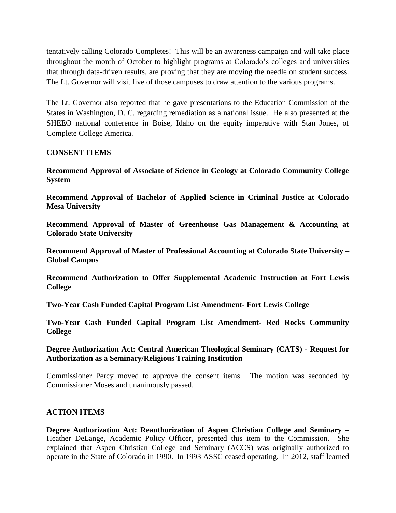tentatively calling Colorado Completes! This will be an awareness campaign and will take place throughout the month of October to highlight programs at Colorado's colleges and universities that through data-driven results, are proving that they are moving the needle on student success. The Lt. Governor will visit five of those campuses to draw attention to the various programs.

The Lt. Governor also reported that he gave presentations to the Education Commission of the States in Washington, D. C. regarding remediation as a national issue. He also presented at the SHEEO national conference in Boise, Idaho on the equity imperative with Stan Jones, of Complete College America.

# **CONSENT ITEMS**

**Recommend Approval of Associate of Science in Geology at Colorado Community College System**

**Recommend Approval of Bachelor of Applied Science in Criminal Justice at Colorado Mesa University**

**Recommend Approval of Master of Greenhouse Gas Management & Accounting at Colorado State University**

**Recommend Approval of Master of Professional Accounting at Colorado State University – Global Campus**

**Recommend Authorization to Offer Supplemental Academic Instruction at Fort Lewis College**

**Two-Year Cash Funded Capital Program List Amendment- Fort Lewis College**

**Two-Year Cash Funded Capital Program List Amendment- Red Rocks Community College**

**Degree Authorization Act: Central American Theological Seminary (CATS) - Request for Authorization as a Seminary/Religious Training Institution**

Commissioner Percy moved to approve the consent items. The motion was seconded by Commissioner Moses and unanimously passed.

### **ACTION ITEMS**

**Degree Authorization Act: Reauthorization of Aspen Christian College and Seminary –** Heather DeLange, Academic Policy Officer, presented this item to the Commission. She explained that Aspen Christian College and Seminary (ACCS) was originally authorized to operate in the State of Colorado in 1990. In 1993 ASSC ceased operating. In 2012, staff learned